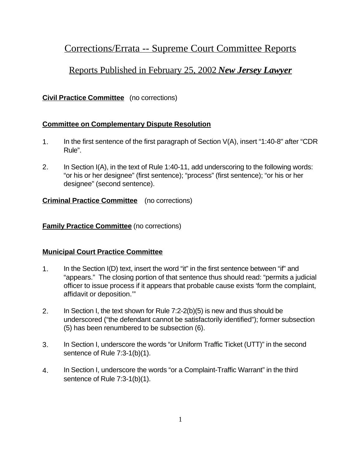# Corrections/Errata -- Supreme Court Committee Reports

## Reports Published in February 25, 2002 *New Jersey Lawyer*

## **Civil Practice Committee** (no corrections)

## **Committee on Complementary Dispute Resolution**

- 1. In the first sentence of the first paragraph of Section V(A), insert "1:40-8" after "CDR Rule".
- 2. In Section I(A), in the text of Rule 1:40-11, add underscoring to the following words: "or his or her designee" (first sentence); "process" (first sentence); "or his or her designee" (second sentence).

#### **Criminal Practice Committee** (no corrections)

#### **Family Practice Committee** (no corrections)

#### **Municipal Court Practice Committee**

- 1. In the Section I(D) text, insert the word "it" in the first sentence between "if" and "appears." The closing portion of that sentence thus should read: "permits a judicial officer to issue process if it appears that probable cause exists 'form the complaint, affidavit or deposition.'"
- 2. In Section I, the text shown for Rule 7:2-2(b)(5) is new and thus should be underscored ("the defendant cannot be satisfactorily identified"); former subsection (5) has been renumbered to be subsection (6).
- 3. In Section I, underscore the words "or Uniform Traffic Ticket (UTT)" in the second sentence of Rule 7:3-1(b)(1).
- 4. In Section I, underscore the words "or a Complaint-Traffic Warrant" in the third sentence of Rule 7:3-1(b)(1).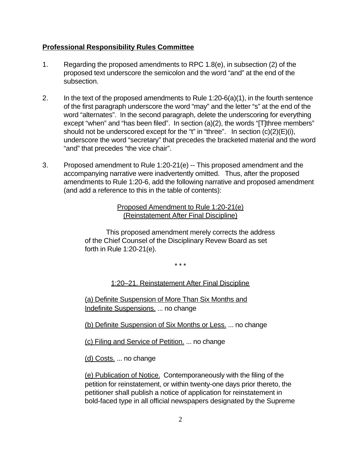#### **Professional Responsibility Rules Committee**

- 1. Regarding the proposed amendments to RPC 1.8(e), in subsection (2) of the proposed text underscore the semicolon and the word "and" at the end of the subsection.
- 2. In the text of the proposed amendments to Rule  $1:20-6(a)(1)$ , in the fourth sentence of the first paragraph underscore the word "may" and the letter "s" at the end of the word "alternates". In the second paragraph, delete the underscoring for everything except "when" and "has been filed". In section (a)(2), the words "[T]three members" should not be underscored except for the "t" in "three". In section  $(c)(2)(E)(i)$ , underscore the word "secretary" that precedes the bracketed material and the word "and" that precedes "the vice chair".
- 3. Proposed amendment to Rule 1:20-21(e) -- This proposed amendment and the accompanying narrative were inadvertently omitted. Thus, after the proposed amendments to Rule 1:20-6, add the following narrative and proposed amendment (and add a reference to this in the table of contents):

Proposed Amendment to Rule 1:20-21(e) (Reinstatement After Final Discipline)

This proposed amendment merely corrects the address of the Chief Counsel of the Disciplinary Revew Board as set forth in Rule 1:20-21(e).

\* \* \*

1:20–21. Reinstatement After Final Discipline

(a) Definite Suspension of More Than Six Months and Indefinite Suspensions. ... no change

(b) Definite Suspension of Six Months or Less. ... no change

(c) Filing and Service of Petition. ... no change

(d) Costs. ... no change

(e) Publication of Notice. Contemporaneously with the filing of the petition for reinstatement, or within twenty-one days prior thereto, the petitioner shall publish a notice of application for reinstatement in bold-faced type in all official newspapers designated by the Supreme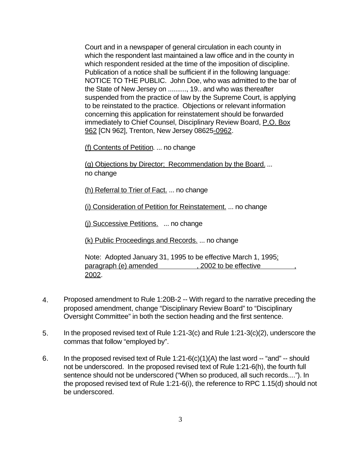Court and in a newspaper of general circulation in each county in which the respondent last maintained a law office and in the county in which respondent resided at the time of the imposition of discipline. Publication of a notice shall be sufficient if in the following language: NOTICE TO THE PUBLIC. John Doe, who was admitted to the bar of the State of New Jersey on .........., 19.. and who was thereafter suspended from the practice of law by the Supreme Court, is applying to be reinstated to the practice. Objections or relevant information concerning this application for reinstatement should be forwarded immediately to Chief Counsel, Disciplinary Review Board, P.O. Box 962 [CN 962], Trenton, New Jersey 08625-0962.

(f) Contents of Petition. ... no change

(g) Objections by Director; Recommendation by the Board. ... no change

(h) Referral to Trier of Fact. ... no change

(i) Consideration of Petition for Reinstatement. ... no change

(j) Successive Petitions. ... no change

(k) Public Proceedings and Records. ... no change

Note: Adopted January 31, 1995 to be effective March 1, 1995; paragraph (e) amended , 2002 to be effective 2002.

- 4. Proposed amendment to Rule 1:20B-2 -- With regard to the narrative preceding the proposed amendment, change "Disciplinary Review Board" to "Disciplinary Oversight Committee" in both the section heading and the first sentence.
- 5. In the proposed revised text of Rule 1:21-3(c) and Rule 1:21-3(c)(2), underscore the commas that follow "employed by".
- 6. In the proposed revised text of Rule  $1:21-6(c)(1)(A)$  the last word  $-$  "and"  $-$  should not be underscored. In the proposed revised text of Rule 1:21-6(h), the fourth full sentence should not be underscored ("When so produced, all such records...."). In the proposed revised text of Rule 1:21-6(i), the reference to RPC 1.15(d) should not be underscored.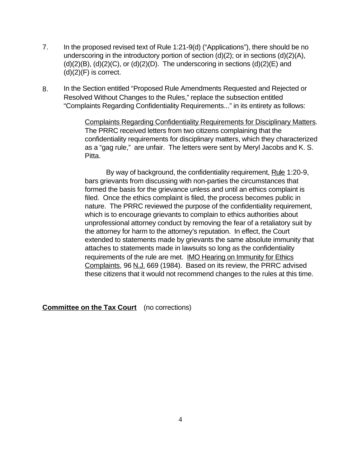- 7. In the proposed revised text of Rule 1:21-9(d) ("Applications"), there should be no underscoring in the introductory portion of section (d)(2); or in sections (d)(2)(A),  $(d)(2)(B)$ ,  $(d)(2)(C)$ , or  $(d)(2)(D)$ . The underscoring in sections  $(d)(2)(E)$  and  $(d)(2)(F)$  is correct.
- 8. In the Section entitled "Proposed Rule Amendments Requested and Rejected or Resolved Without Changes to the Rules," replace the subsection entitled "Complaints Regarding Confidentiality Requirements..." in its entirety as follows:

Complaints Regarding Confidentiality Requirements for Disciplinary Matters. The PRRC received letters from two citizens complaining that the confidentiality requirements for disciplinary matters, which they characterized as a "gag rule," are unfair. The letters were sent by Meryl Jacobs and K. S. Pitta.

By way of background, the confidentiality requirement, Rule 1:20-9, bars grievants from discussing with non-parties the circumstances that formed the basis for the grievance unless and until an ethics complaint is filed. Once the ethics complaint is filed, the process becomes public in nature. The PRRC reviewed the purpose of the confidentiality requirement, which is to encourage grievants to complain to ethics authorities about unprofessional attorney conduct by removing the fear of a retaliatory suit by the attorney for harm to the attorney's reputation. In effect, the Court extended to statements made by grievants the same absolute immunity that attaches to statements made in lawsuits so long as the confidentiality requirements of the rule are met. IMO Hearing on Immunity for Ethics Complaints, 96 N.J. 669 (1984). Based on its review, the PRRC advised these citizens that it would not recommend changes to the rules at this time.

**Committee on the Tax Court** (no corrections)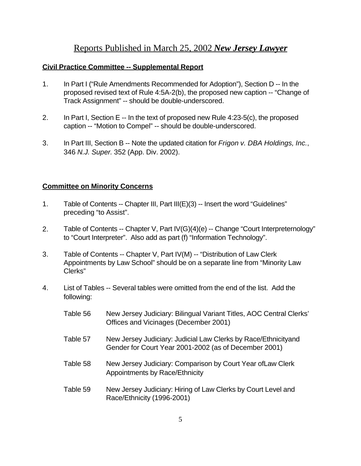## Reports Published in March 25, 2002 *New Jersey Lawyer*

## **Civil Practice Committee -- Supplemental Report**

- 1. In Part I ("Rule Amendments Recommended for Adoption"), Section D -- In the proposed revised text of Rule 4:5A-2(b), the proposed new caption -- "Change of Track Assignment" -- should be double-underscored.
- 2. In Part I, Section E -- In the text of proposed new Rule 4:23-5(c), the proposed caption -- "Motion to Compel" -- should be double-underscored.
- 3. In Part III, Section B -- Note the updated citation for *Frigon v. DBA Holdings, Inc.*, 346 *N.J. Super.* 352 (App. Div. 2002).

## **Committee on Minority Concerns**

- 1. Table of Contents -- Chapter III, Part III(E)(3) -- Insert the word "Guidelines" preceding "to Assist".
- 2. Table of Contents -- Chapter V, Part IV(G)(4)(e) -- Change "Court Interpreternology" to "Court Interpreter". Also add as part (f) "Information Technology".
- 3. Table of Contents -- Chapter V, Part IV(M) -- "Distribution of Law Clerk Appointments by Law School" should be on a separate line from "Minority Law Clerks"
- 4. List of Tables -- Several tables were omitted from the end of the list. Add the following:
	- Table 56 New Jersey Judiciary: Bilingual Variant Titles, AOC Central Clerks' Offices and Vicinages (December 2001)
	- Table 57 New Jersey Judiciary: Judicial Law Clerks by Race/Ethnicityand Gender for Court Year 2001-2002 (as of December 2001)
	- Table 58 New Jersey Judiciary: Comparison by Court Year ofLaw Clerk Appointments by Race/Ethnicity
	- Table 59 New Jersey Judiciary: Hiring of Law Clerks by Court Level and Race/Ethnicity (1996-2001)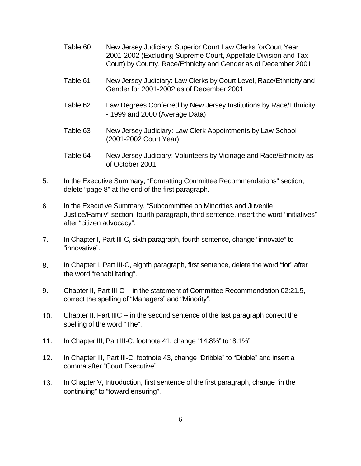- Table 60 New Jersey Judiciary: Superior Court Law Clerks forCourt Year 2001-2002 (Excluding Supreme Court, Appellate Division and Tax Court) by County, Race/Ethnicity and Gender as of December 2001
- Table 61 New Jersey Judiciary: Law Clerks by Court Level, Race/Ethnicity and Gender for 2001-2002 as of December 2001
- Table 62 Law Degrees Conferred by New Jersey Institutions by Race/Ethnicity - 1999 and 2000 (Average Data)
- Table 63 New Jersey Judiciary: Law Clerk Appointments by Law School (2001-2002 Court Year)
- Table 64 New Jersey Judiciary: Volunteers by Vicinage and Race/Ethnicity as of October 2001
- 5. In the Executive Summary, "Formatting Committee Recommendations" section, delete "page 8" at the end of the first paragraph.
- 6. In the Executive Summary, "Subcommittee on Minorities and Juvenile Justice/Family" section, fourth paragraph, third sentence, insert the word "initiatives" after "citizen advocacy".
- 7. In Chapter I, Part III-C, sixth paragraph, fourth sentence, change "innovate" to "innovative".
- 8. In Chapter I, Part III-C, eighth paragraph, first sentence, delete the word "for" after the word "rehabilitating".
- 9. Chapter II, Part III-C -- in the statement of Committee Recommendation 02:21.5, correct the spelling of "Managers" and "Minority".
- 10. Chapter II, Part IIIC -- in the second sentence of the last paragraph correct the spelling of the word "The".
- 11. In Chapter III, Part III-C, footnote 41, change "14.8%" to "8.1%".
- 12. In Chapter III, Part III-C, footnote 43, change "Dribble" to "Dibble" and insert a comma after "Court Executive".
- 13. In Chapter V, Introduction, first sentence of the first paragraph, change "in the continuing" to "toward ensuring".